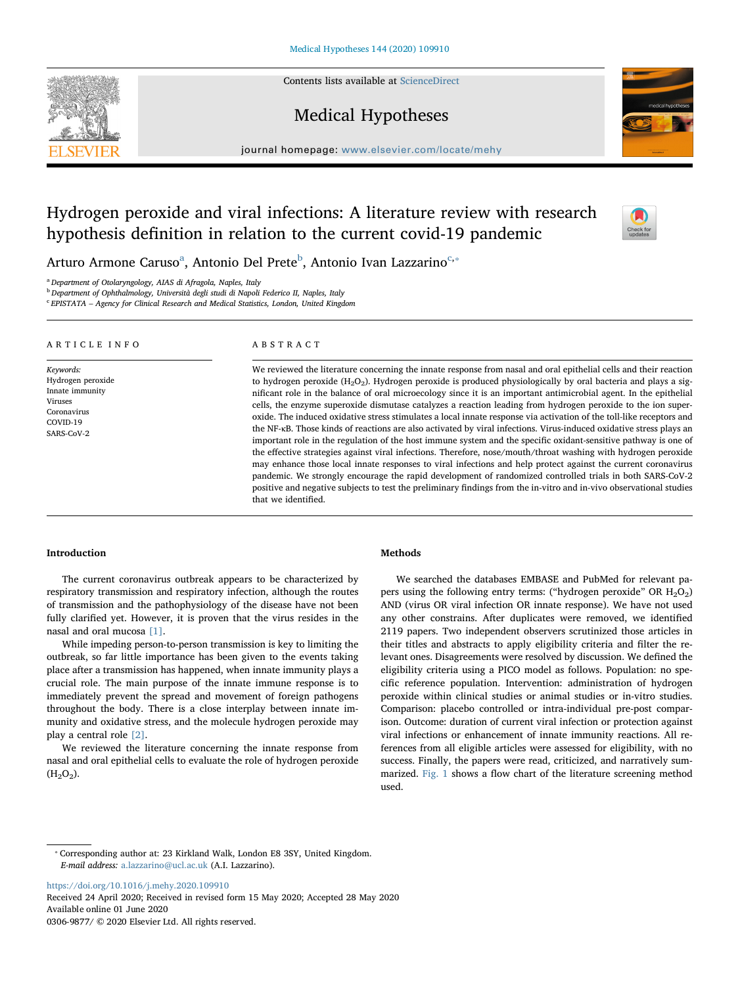Contents lists available at [ScienceDirect](http://www.sciencedirect.com/science/journal/03069877)

# Medical Hypotheses

journal homepage: [www.elsevier.com/locate/mehy](https://www.elsevier.com/locate/mehy)/ $\frac{1}{\sqrt{N}}$ 

# Hydrogen peroxide and viral infections: A literature review with research hypothesis definition in relation to the current covid-19 pandemic

Arturo Armone Caruso<sup>a</sup>, Antonio Del Prete<sup>b</sup>, Antonio Ivan Lazzarino<sup>c,</sup>\*

that we identified.

<sup>a</sup> Department of Otolaryngology, AIAS di Afragola, Naples, Italy

<sup>b</sup> Department of Ophthalmology, Università degli studi di Napoli Federico II, Naples, Italy

 $c$  EPISTATA – Agency for Clinical Research and Medical Statistics, London, United Kingdom

| ARTICLE INFO                                                                                          | ABSTRACT                                                                                                                                                                                                                                                                                                                                                                                                                                                                                                                                                                                                                                                                                                                                                                                                                                                                                                                                                                                                                                                                                                                                                                                                                                                                                                            |
|-------------------------------------------------------------------------------------------------------|---------------------------------------------------------------------------------------------------------------------------------------------------------------------------------------------------------------------------------------------------------------------------------------------------------------------------------------------------------------------------------------------------------------------------------------------------------------------------------------------------------------------------------------------------------------------------------------------------------------------------------------------------------------------------------------------------------------------------------------------------------------------------------------------------------------------------------------------------------------------------------------------------------------------------------------------------------------------------------------------------------------------------------------------------------------------------------------------------------------------------------------------------------------------------------------------------------------------------------------------------------------------------------------------------------------------|
| Keywords:<br>Hydrogen peroxide<br>Innate immunity<br>Viruses<br>Coronavirus<br>COVID-19<br>SARS-CoV-2 | We reviewed the literature concerning the innate response from nasal and oral epithelial cells and their reaction<br>to hydrogen peroxide $(H_2O_2)$ . Hydrogen peroxide is produced physiologically by oral bacteria and plays a sig-<br>nificant role in the balance of oral microecology since it is an important antimicrobial agent. In the epithelial<br>cells, the enzyme superoxide dismutase catalyzes a reaction leading from hydrogen peroxide to the ion super-<br>oxide. The induced oxidative stress stimulates a local innate response via activation of the toll-like receptors and<br>the NF-kB. Those kinds of reactions are also activated by viral infections. Virus-induced oxidative stress plays an<br>important role in the regulation of the host immune system and the specific oxidant-sensitive pathway is one of<br>the effective strategies against viral infections. Therefore, nose/mouth/throat washing with hydrogen peroxide<br>may enhance those local innate responses to viral infections and help protect against the current coronavirus<br>pandemic. We strongly encourage the rapid development of randomized controlled trials in both SARS-CoV-2<br>positive and negative subjects to test the preliminary findings from the in-vitro and in-vivo observational studies |

### Introduction

The current coronavirus outbreak appears to be characterized by respiratory transmission and respiratory infection, although the routes of transmission and the pathophysiology of the disease have not been fully clarified yet. However, it is proven that the virus resides in the nasal and oral mucosa [1].

While impeding person-to-person transmission is key to limiting the outbreak, so far little importance has been given to the events taking place after a transmission has happened, when innate immunity plays a crucial role. The main purpose of the innate immune response is to immediately prevent the spread and movement of foreign pathogens throughout the body. There is a close interplay between innate immunity and oxidative stress, and the molecule hydrogen peroxide may play a central role [2].

We reviewed the literature concerning the innate response from nasal and oral epithelial cells to evaluate the role of hydrogen peroxide  $(H<sub>2</sub>O<sub>2</sub>)$ .

## Methods

We searched the databases EMBASE and PubMed for relevant papers using the following entry terms: ("hydrogen peroxide" OR  $H_2O_2$ ) AND (virus OR viral infection OR innate response). We have not used any other constrains. After duplicates were removed, we identified 2119 papers. Two independent observers scrutinized those articles in their titles and abstracts to apply eligibility criteria and filter the relevant ones. Disagreements were resolved by discussion. We defined the eligibility criteria using a PICO model as follows. Population: no specific reference population. Intervention: administration of hydrogen peroxide within clinical studies or animal studies or in-vitro studies. Comparison: placebo controlled or intra-individual pre-post comparison. Outcome: duration of current viral infection or protection against viral infections or enhancement of innate immunity reactions. All references from all eligible articles were assessed for eligibility, with no success. Finally, the papers were read, criticized, and narratively summarized. Fig. 1 shows a flow chart of the literature screening method used.

<https://doi.org/10.1016/j.mehy.2020.109910>

Received 24 April 2020; Received in revised form 15 May 2020; Accepted 28 May 2020 Available online 01 June 2020 0306-9877/ © 2020 Elsevier Ltd. All rights reserved.





 $\frac{N}{2}$ 

<sup>⁎</sup> Corresponding author at: 23 Kirkland Walk, London E8 3SY, United Kingdom. E-mail address: [a.lazzarino@ucl.ac.uk](mailto:a.lazzarino@ucl.ac.uk) (A.I. Lazzarino).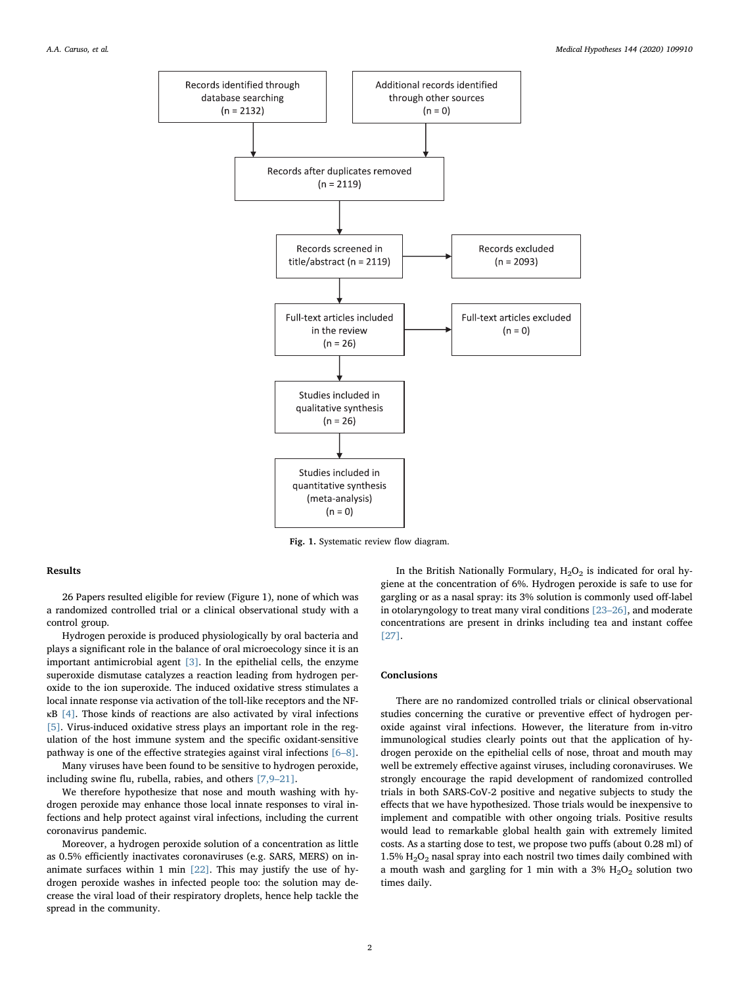

Fig. 1. Systematic review flow diagram.

### Results

26 Papers resulted eligible for review (Figure 1), none of which was a randomized controlled trial or a clinical observational study with a control group.

Hydrogen peroxide is produced physiologically by oral bacteria and plays a significant role in the balance of oral microecology since it is an important antimicrobial agent [3]. In the epithelial cells, the enzyme superoxide dismutase catalyzes a reaction leading from hydrogen peroxide to the ion superoxide. The induced oxidative stress stimulates a local innate response via activation of the toll-like receptors and the NFκB [4]. Those kinds of reactions are also activated by viral infections [5]. Virus-induced oxidative stress plays an important role in the regulation of the host immune system and the specific oxidant-sensitive pathway is one of the effective strategies against viral infections [6–8].

Many viruses have been found to be sensitive to hydrogen peroxide, including swine flu, rubella, rabies, and others [7,9–21].

We therefore hypothesize that nose and mouth washing with hydrogen peroxide may enhance those local innate responses to viral infections and help protect against viral infections, including the current coronavirus pandemic.

Moreover, a hydrogen peroxide solution of a concentration as little as 0.5% efficiently inactivates coronaviruses (e.g. SARS, MERS) on inanimate surfaces within 1 min  $[22]$ . This may justify the use of hydrogen peroxide washes in infected people too: the solution may decrease the viral load of their respiratory droplets, hence help tackle the spread in the community.

In the British Nationally Formulary,  $H_2O_2$  is indicated for oral hygiene at the concentration of 6%. Hydrogen peroxide is safe to use for gargling or as a nasal spray: its 3% solution is commonly used off-label in otolaryngology to treat many viral conditions [23–26], and moderate concentrations are present in drinks including tea and instant coffee [27].

#### Conclusions

There are no randomized controlled trials or clinical observational studies concerning the curative or preventive effect of hydrogen peroxide against viral infections. However, the literature from in-vitro immunological studies clearly points out that the application of hydrogen peroxide on the epithelial cells of nose, throat and mouth may well be extremely effective against viruses, including coronaviruses. We strongly encourage the rapid development of randomized controlled trials in both SARS-CoV-2 positive and negative subjects to study the effects that we have hypothesized. Those trials would be inexpensive to implement and compatible with other ongoing trials. Positive results would lead to remarkable global health gain with extremely limited costs. As a starting dose to test, we propose two puffs (about 0.28 ml) of 1.5%  $H<sub>2</sub>O<sub>2</sub>$  nasal spray into each nostril two times daily combined with a mouth wash and gargling for 1 min with a 3%  $H_2O_2$  solution two times daily.